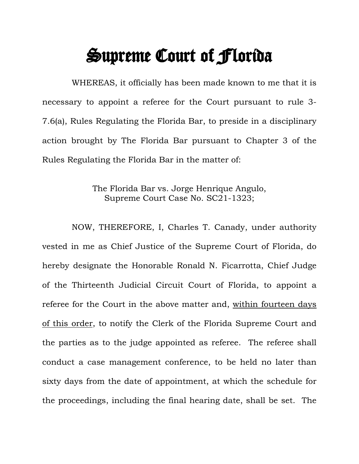## **Supreme Court of Florida**

WHEREAS, it officially has been made known to me that it is necessary to appoint a referee for the Court pursuant to rule 3- 7.6(a), Rules Regulating the Florida Bar, to preside in a disciplinary action brought by The Florida Bar pursuant to Chapter 3 of the Rules Regulating the Florida Bar in the matter of:

> The Florida Bar vs. Jorge Henrique Angulo, Supreme Court Case No. SC21-1323;

NOW, THEREFORE, I, Charles T. Canady, under authority vested in me as Chief Justice of the Supreme Court of Florida, do hereby designate the Honorable Ronald N. Ficarrotta, Chief Judge of the Thirteenth Judicial Circuit Court of Florida, to appoint a referee for the Court in the above matter and, within fourteen days of this order, to notify the Clerk of the Florida Supreme Court and the parties as to the judge appointed as referee. The referee shall conduct a case management conference, to be held no later than sixty days from the date of appointment, at which the schedule for the proceedings, including the final hearing date, shall be set. The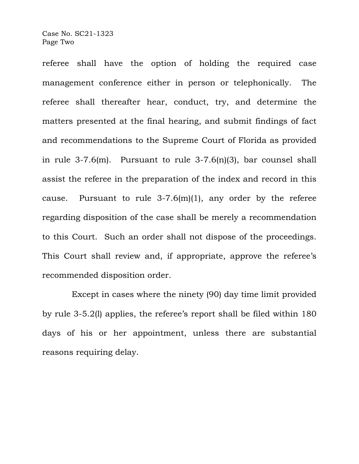referee shall have the option of holding the required case management conference either in person or telephonically. The referee shall thereafter hear, conduct, try, and determine the matters presented at the final hearing, and submit findings of fact and recommendations to the Supreme Court of Florida as provided in rule 3-7.6(m). Pursuant to rule 3-7.6(n)(3), bar counsel shall assist the referee in the preparation of the index and record in this cause. Pursuant to rule  $3-7.6(m)(1)$ , any order by the referee regarding disposition of the case shall be merely a recommendation to this Court. Such an order shall not dispose of the proceedings. This Court shall review and, if appropriate, approve the referee's recommended disposition order.

Except in cases where the ninety (90) day time limit provided by rule 3-5.2(l) applies, the referee's report shall be filed within 180 days of his or her appointment, unless there are substantial reasons requiring delay.